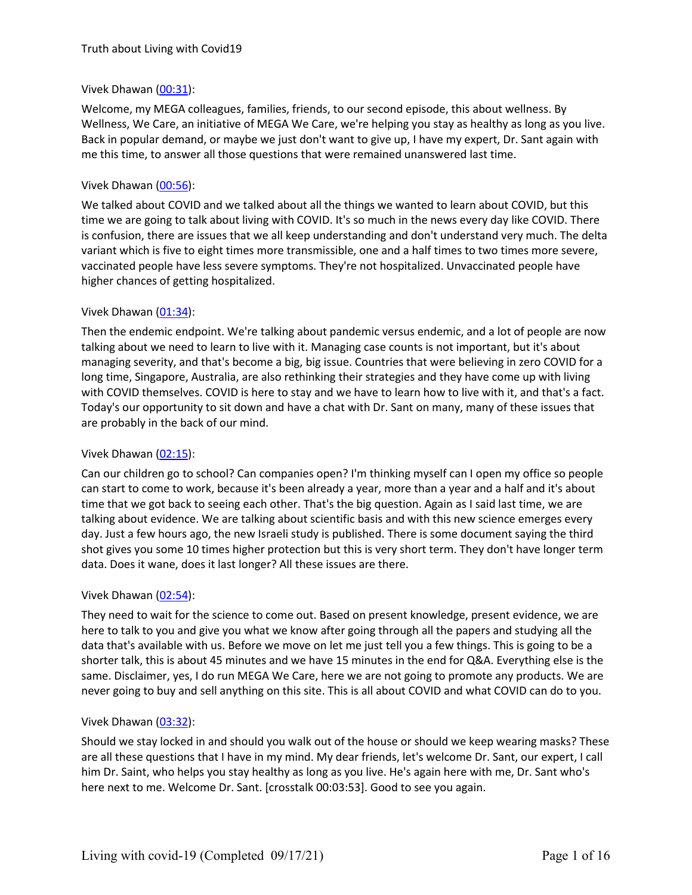## Vivek Dhawan [\(00:31](https://www.rev.com/transcript-editor/Edit?token=TH588bJYJgX33vGevX3Rp2fqztBSP6WPfMJ0qkxhe0KYbsh1nscUPTXNDpFYFWUNfKvXj_4wUim5uk9OSqGNPleOvCI&loadFrom=DocumentDeeplink&ts=31.15)):

Welcome, my MEGA colleagues, families, friends, to our second episode, this about wellness. By Wellness, We Care, an initiative of MEGA We Care, we're helping you stay as healthy as long as you live. Back in popular demand, or maybe we just don't want to give up, I have my expert, Dr. Sant again with me this time, to answer all those questions that were remained unanswered last time.

#### Vivek Dhawan [\(00:56](https://www.rev.com/transcript-editor/Edit?token=Ms-0pvIi61TvCEHqhVecv7tNzfGXVwggo_WPSY6wLpoRJka3bjdlRl8oEdh_7eOBJaqhAgyubzlSEe1h5sFZK6q6FxU&loadFrom=DocumentDeeplink&ts=56.56)):

We talked about COVID and we talked about all the things we wanted to learn about COVID, but this time we are going to talk about living with COVID. It's so much in the news every day like COVID. There is confusion, there are issues that we all keep understanding and don't understand very much. The delta variant which is five to eight times more transmissible, one and a half times to two times more severe, vaccinated people have less severe symptoms.They're not hospitalized. Unvaccinated people have higher chances of getting hospitalized.

#### Vivek Dhawan [\(01:34](https://www.rev.com/transcript-editor/Edit?token=9sK5liZ52jpMJxHLRBBwhbV_VqQD7flKJMQvOiegsHIsEgOsjO2ZKGKjyEUw8WFiKhWnHHn8y3WQVZxvqrb2ScZKAkc&loadFrom=DocumentDeeplink&ts=94.47)):

Then the endemic endpoint. We're talking about pandemic versus endemic, and a lot of people are now talking about we need to learn to live with it. Managing case counts is not important, but it's about managing severity, and that's become a big, big issue. Countries that were believing in zero COVID for a long time, Singapore, Australia, are also rethinking their strategies and they have come up with living with COVID themselves. COVID is here to stay and we have to learn how to live with it, and that's a fact. Today's our opportunity to sitdown and have a chat with Dr. Sant on many, many of these issues that are probably in the back of our mind.

#### Vivek Dhawan [\(02:15](https://www.rev.com/transcript-editor/Edit?token=6hyvq707ye8ckOLvrOvRKUSdeXPiYPWh1RLlVsrvt5hGk6niYkeUik_UgPQ3cmubNlE3TVv69iMc2EJoxBWxSmVYv-w&loadFrom=DocumentDeeplink&ts=135.69)):

Can our children go to school? Can companies open? I'm thinking myself can I open my office so people can start to come to work, because it's been already a year, more than a year and a half and it's about time that we got back to seeing each other. That's the big question. Again as I said last time, we are talking about evidence. We are talking about scientific basis and with this new science emerges every day. Just a few hours ago, the new Israeli study is published. There is some document saying the third shot gives you some 10 times higher protection but this is very short term. They don't have longer term data. Does it wane, does it last longer? All these issues are there.

#### Vivek Dhawan [\(02:54](https://www.rev.com/transcript-editor/Edit?token=bPuXQdHVwQTxbZrY5MDlz57mucEmh6sl4xXPAeLKv7QItamWLjr_-IZzXP8qqoBD0oUHUq-3UC0lvvuNAKvUNQiK2OU&loadFrom=DocumentDeeplink&ts=174.11)):

They need to wait for the science to come out. Based on present knowledge, present evidence, we are here to talk to you and give you what we know after going through all the papers and studying all the data that's available with us. Before we move on let me just tell you a few things. This is going to be a shorter talk, this is about 45 minutes and we have 15 minutes in the end for Q&A. Everything else is the same. Disclaimer, yes, I do run MEGA We Care, here we are not going to promote any products. We are never going to buy and sell anything on this site. This is all about COVID andwhat COVID cando to you.

#### Vivek Dhawan [\(03:32](https://www.rev.com/transcript-editor/Edit?token=X_DfExomjQUbfYgJWTtkFBgrsnhdvfp-Do7bQdFF-6aSb6s3JTeI8wD1ui_GLK0JmSZeQYXM7rpROONutnp9PsD5XZA&loadFrom=DocumentDeeplink&ts=212.64)):

Should we stay locked in and should you walk out of the house or should we keep wearing masks? These are all these questions that I have in my mind. My dear friends, let's welcome Dr. Sant, our expert, I call him Dr. Saint, who helps you stay healthy aslong as you live. He's again here with me, Dr. Sant who's here next to me. Welcome Dr. Sant. [crosstalk 00:03:53]. Good to see you again.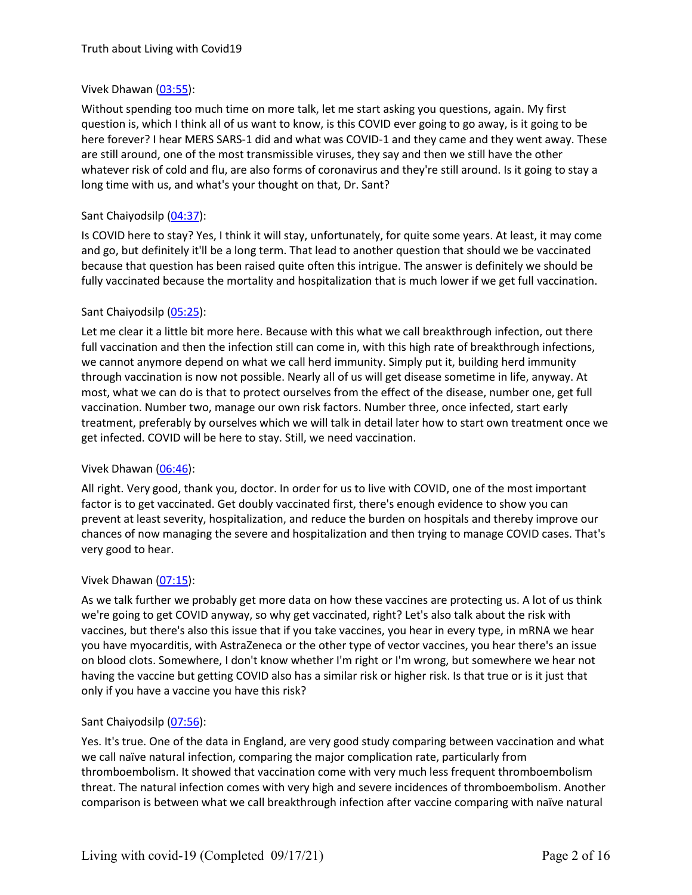# Vivek Dhawan [\(03:55](https://www.rev.com/transcript-editor/Edit?token=WQKXcd_A7S4aGw8TE1dMau6l0d-4IMvGPUBtDIl6DGQyO7_JuTgOQBMqbYXA6SLx_FoepBhUqjaLkiyZYerKolp9xJk&loadFrom=DocumentDeeplink&ts=235.47)):

Without spending too much time on more talk, let me start asking you questions, again. My first question is, which I think all of us want to know, is this COVID ever going to go away, is it going to be here forever? I hear MERS SARS-1 did and what was COVID-1 and they came and they went away. These are still around, one of the most transmissible viruses, they say and then we still have the other whatever risk of cold and flu, are also forms of coronavirus and they're still around. Is it going to stay a long time with us, and what's your thought on that, Dr. Sant?

# Sant Chaiyodsilp [\(04:37](https://www.rev.com/transcript-editor/Edit?token=VrcUGfSPfbEy2_1d1gZg_nAqoOp53D44w03OJBDj0135pLFWHsO2Hdnw1-fuQJTVZ-trhSJe9jP1b7RtCUMJbm8hF7Q&loadFrom=DocumentDeeplink&ts=277.5)):

Is COVID here to stay? Yes, I think it will stay, unfortunately, for quite some years. At least, it may come and go, but definitely it'll be a long term. That lead to another question that should we be vaccinated because that question has been raised quite often this intrigue. The answer is definitely we should be fully vaccinated because the mortality and hospitalization that is much lower if we get full vaccination.

# Sant Chaiyodsilp [\(05:25](https://www.rev.com/transcript-editor/Edit?token=YGsHwlVKXNF2PY1ktEwJI6Ji6VMW9riAA2zhJnGINkgYj4gncXyA0IK-z-PoiuKWrK9AbG60w6W_649_wp5DpUvOEMM&loadFrom=DocumentDeeplink&ts=325.74)):

Let me clear it a little bit more here. Because with this what we call breakthrough infection, out there full vaccination and then the infection still can come in, with this high rate of breakthrough infections, we cannot anymore depend on what we call herd immunity. Simply put it, building herd immunity through vaccination is now not possible. Nearly all of us will get disease sometime in life, anyway. At most, what we can do is that to protect ourselves from the effect of the disease, number one, get full vaccination. Number two, manage our own risk factors. Number three, once infected, start early treatment, preferably by ourselves which we will talk in detail later how to start own treatment once we get infected. COVID will be here to stay. Still, we need vaccination.

# Vivek Dhawan [\(06:46](https://www.rev.com/transcript-editor/Edit?token=VfiVZWgzxhy8rsWTrjYvvFo07OhSt-Jneszfnq6OTSBqnE7SuClLJpl-TIdpyX_2KPAGcUdpbFB4eFDmljkA8YV0rxc&loadFrom=DocumentDeeplink&ts=406.71)):

All right. Very good, thank you, doctor. In order for us to live with COVID, one of the most important factor is to get vaccinated. Get doubly vaccinated first, there's enough evidence to show you can prevent at least severity, hospitalization, and reduce the burden on hospitals and thereby improve our chances of now managing the severe and hospitalization and then trying to manage COVID cases. That's very good to hear.

#### Vivek Dhawan [\(07:15](https://www.rev.com/transcript-editor/Edit?token=DP7U0AJqTn3rLDhmzb7_LObDo1PgzuQV49APw6B1xH-WHbaC0SlLG9X90CwpUdzSvORLGSvWHc6cZoxcRy2qaoH66RA&loadFrom=DocumentDeeplink&ts=435.78)):

As we talk further we probably get more data on how these vaccines are protecting us. A lot of us think we're going to get COVID anyway, so why get vaccinated, right? Let's also talk about the risk with vaccines, but there's also this issue that if you take vaccines, you hear in every type, in mRNA we hear you have myocarditis, with AstraZeneca or the other type of vector vaccines, you hear there's an issue on blood clots. Somewhere, I don't know whether I'm rightor I'm wrong, but somewhere we hear not having the vaccine but getting COVID also has a similar risk or higher risk. Is that true or is it just that only if you have a vaccine you have this risk?

#### Sant Chaiyodsilp [\(07:56](https://www.rev.com/transcript-editor/Edit?token=BKafa9VpXkol-pBHPEuly_Ccq5IMV1RnjD4TjZ98oBMLHrCCg8RczM5ZUFAp45FDQJWF93rdL1NCPa3M2cL_LI6OQpc&loadFrom=DocumentDeeplink&ts=476.77)):

Yes. It's true. One of the data in England, are very good study comparing between vaccination and what we call naïve natural infection, comparing the major complication rate, particularly from thromboembolism. It showed that vaccination come with very much less frequent thromboembolism threat. The natural infection comes with very high and severe incidences of thromboembolism. Another comparison is between what we call breakthrough infection after vaccine comparing with naïve natural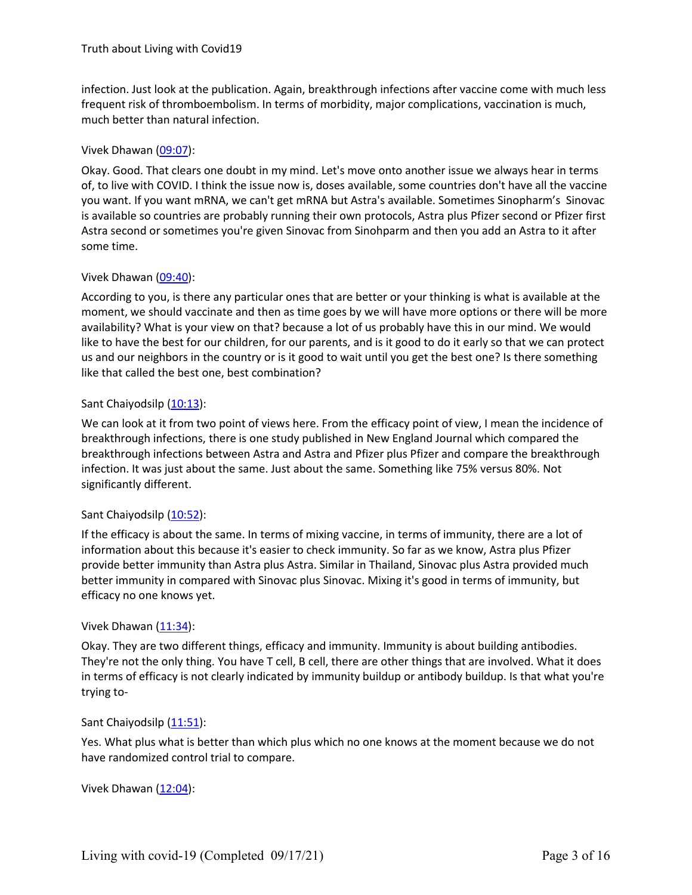infection. Just look at the publication. Again, breakthrough infections after vaccine come with much less frequent risk of thromboembolism. In terms of morbidity, major complications, vaccination is much, much better than natural infection.

# Vivek Dhawan [\(09:07](https://www.rev.com/transcript-editor/Edit?token=Yvr8yor753J4AdeQf8rwdF_W62dXHpQe9_344kutmJ6YxeXnV5DtDNdzI6FoI40D1HYGlmakNJtGmAFQa6ECSzz2aKo&loadFrom=DocumentDeeplink&ts=547.72)):

Okay. Good. That clears one doubt in my mind. Let's move onto anotherissue we always hear in terms of, to live with COVID. I think the issue now is, doses available, some countries don't have all the vaccine you want. If you want mRNA, we can't get mRNA but Astra's available. Sometimes Sinopharm's Sinovac is available so countries are probably running their own protocols, Astra plus Pfizer second or Pfizer first Astra second or sometimes you're given Sinovac from Sinohparm and then you add an Astra to it after some time.

# Vivek Dhawan [\(09:40](https://www.rev.com/transcript-editor/Edit?token=NnoPY7Hg7_jjzPfSv9q-WAUrU-rZLcVU3fE5dVOgphuGnd-__9FVeWp3ECrF9dHuDvOeIi3bRo7Tks1U0YK10slaFow&loadFrom=DocumentDeeplink&ts=580.24)):

According to you, is there any particular ones that are better or your thinking is what is available at the moment, we should vaccinate and then as time goes by we will have more options or there will be more availability? What is your view on that? because a lot of us probably have this in our mind. We would like to have the best for our children, for our parents, and is it good to do it early so that we can protect us and our neighbors in the country or is it good to wait untilyou get the best one? Is there something like that called the best one, best combination?

# Sant Chaiyodsilp [\(10:13](https://www.rev.com/transcript-editor/Edit?token=jMhng0PSZ19qwGbS-JuiyLaTbGgEFSJhLS7kz3z2kkm9gla4jElOncPc7Wg-NFzZYUo8zKOzePPX8NSKj17L_OQ0zkA&loadFrom=DocumentDeeplink&ts=613.88)):

We can look at it from two point of viewshere. From the efficacy point of view, I mean the incidence of breakthrough infections, there is one study published in New England Journal which compared the breakthrough infections between Astra and Astra and Pfizer plus Pfizer and compare the breakthrough infection. It was just about the same. Just about the same. Something like 75% versus 80%. Not significantly different.

# Sant Chaiyodsilp [\(10:52](https://www.rev.com/transcript-editor/Edit?token=ynqXBAJvcBYv0QGpi2yOmH_Z9GKA1qSH6PS1DG6_JwWOhf9fF5MDHqKR3FfOuSzP2qr227mD5djXMh5E8leix2qmrV4&loadFrom=DocumentDeeplink&ts=652.68)):

If the efficacy is about the same. In terms of mixing vaccine, in termsof immunity, there are a lot of information about this because it's easier to check immunity. So far as we know, Astra plus Pfizer provide better immunity than Astra plus Astra. Similar in Thailand, Sinovac plus Astra provided much better immunity in compared with Sinovac plus Sinovac. Mixing it's good in terms of immunity, but efficacy no one knows yet.

# Vivek Dhawan  $(11:34)$  $(11:34)$ :

Okay. They are two different things, efficacy and immunity. Immunity is about building antibodies. They're not the only thing. You have T cell, B cell, there are other things that are involved. What it does in terms of efficacy is not clearly indicated by immunity buildup or antibody buildup. Is that what you're trying to-

# Sant Chaiyodsilp [\(11:51](https://www.rev.com/transcript-editor/Edit?token=1a9X1FNIvzigIjzV4ZGyGM4VEJWgNCqz4IaR0hyme5FUWbh2wENvpQZrvzHMAvPgk7BXXV1SgS9-CNZVqsEHPEbAP4o&loadFrom=DocumentDeeplink&ts=711.97)):

Yes. What plus what is better than which plus which no one knows at the moment because we do not have randomized control trial to compare.

Vivek Dhawan  $(12:04)$  $(12:04)$ :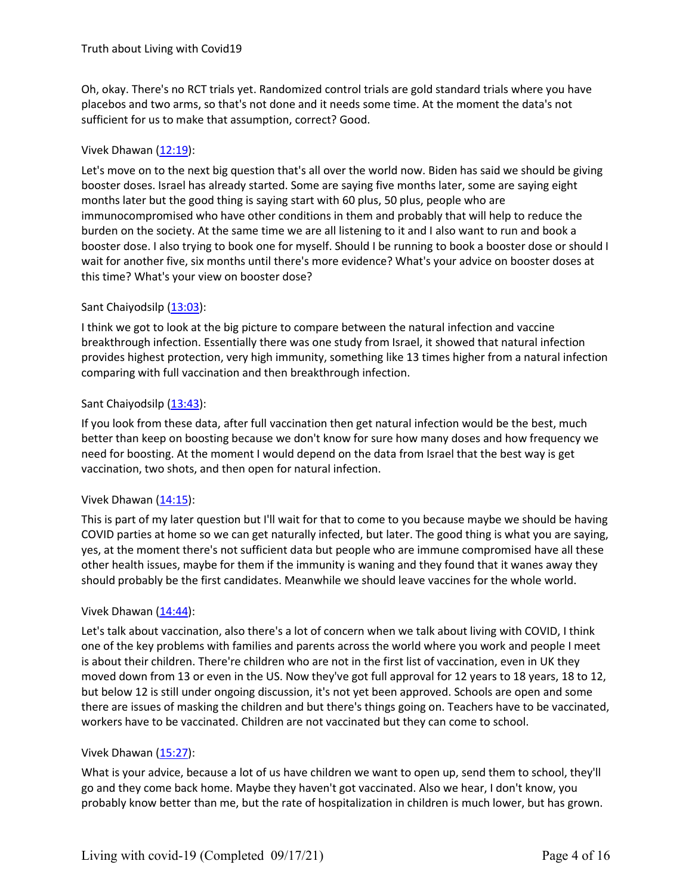Oh, okay. There's no RCT trials yet. Randomized control trials are gold standard trials where you have placebos and two arms, so that's not done and it needs some time. At the moment the data's not sufficient for us to make that assumption, correct? Good.

# Vivek Dhawan [\(12:19](https://www.rev.com/transcript-editor/Edit?token=6ILsmLKdYshJdkRNnwiDw5eekmteGtZrTe_l2uGOZdv-sMJNFoJompy8PCQy-LAxpOjyC-AKYI3WjszM18q1CwlK1OY&loadFrom=DocumentDeeplink&ts=739.36)):

Let's move on to the next big question that's all over the world now. Biden has said we should be giving booster doses. Israel has already started. Some are saying five months later, some are saying eight months later but the good thing is saying start with 60 plus, 50 plus, people who are immunocompromised who have other conditions in them and probably that will help to reduce the burden on the society. At the same time we are all listening to it and I also want to run and book a booster dose. I also trying to book one for myself. Should I be running to book a booster dose or should I wait for another five, six months until there's more evidence? What's your advice on booster doses at this time? What's your view on boosterdose?

# Sant Chaiyodsilp [\(13:03](https://www.rev.com/transcript-editor/Edit?token=nwBdkBc3aRcX6oqVKU5d53ry1XBVbleAecUCE0GBUcyrYX6YS_4_ibh1-cmqW709OKaPi3JBjw4_rVlx-r4T225sAeA&loadFrom=DocumentDeeplink&ts=783.51)):

I think we got to look at the big picture to compare between the natural infection and vaccine breakthrough infection. Essentially there was one study from Israel, it showed that natural infection provides highest protection, very high immunity, something like 13 times higher from a natural infection comparing with full vaccination and then breakthrough infection.

# Sant Chaiyodsilp [\(13:43](https://www.rev.com/transcript-editor/Edit?token=5jRt5p_4ONHxIj7Q06q7J7QAbsNJL6wtTuzk2HfKRypfXNNEH-8kuh3gR6hO0mFMR5347vNLqO1uVbhuGa_9GvFn3D0&loadFrom=DocumentDeeplink&ts=823.15)):

If you look from these data, after full vaccination then get natural infection would be the best, much better than keep on boosting because we don't know for sure how many doses and how frequency we need for boosting. At the moment I would depend on the data from Israel that the best way is get vaccination, two shots, and then open for natural infection.

# Vivek Dhawan [\(14:15](https://www.rev.com/transcript-editor/Edit?token=GZqzK5a74km-z8xHZ6PSID2ekPlq72jBBaTpLcq7Gff1CZIGRMdB1PQx3oe8Vehja5wIYmi73O1XKzr1eNz3s-VC8_I&loadFrom=DocumentDeeplink&ts=855.9)):

This is part of my later question but I'll wait for that to come to you because maybe we should be having COVID parties at home so we can get naturally infected, but later. The good thing is what you are saying, yes, at the moment there's not sufficient data but people who are immune compromised have all these other health issues, maybe for them if the immunity is waning and they found that it wanes away they should probably be the first candidates. Meanwhile we should leave vaccines for the whole world.

# Vivek Dhawan [\(14:44](https://www.rev.com/transcript-editor/Edit?token=RaIvzNZ53iAwSNz7oQrgZwqDrKJaoVFdaSB_VUmnHgv3hCBTtiGvIwdFVapRlpEPTpnfqflZHp73uP87RPZuNzi0a0s&loadFrom=DocumentDeeplink&ts=884.99)):

Let's talk about vaccination, also there's a lot of concern when we talk about living with COVID, I think one of the key problems with families and parents across the world where you work and people I meet is about their children. There're children who are not in the first list of vaccination, even in UK they moved down from 13 or even in the US. Now they've got full approval for 12 years to 18 years, 18 to 12, but below 12 is still under ongoing discussion, it's not yet been approved. Schools are open and some there are issues of masking the children and but there's things going on. Teachers have to be vaccinated, workers have to be vaccinated. Children are not vaccinated but they can come to school.

# Vivek Dhawan [\(15:27](https://www.rev.com/transcript-editor/Edit?token=YhZLHLsLhQmK0j-qPRAGk-nzKM1WjsePzwfB-C5yGtLMfnIcmkpF1BAdp-0qvvU_FWt3SQY6c-jbZPMUKAeheNUOXnc&loadFrom=DocumentDeeplink&ts=927.55)):

What is your advice, because a lot of us have children we want to open up, send them to school, they'll go and they come back home. Maybe they haven't got vaccinated. Also we hear, I don't know, you probably know better than me, but the rate of hospitalization in children is much lower, but has grown.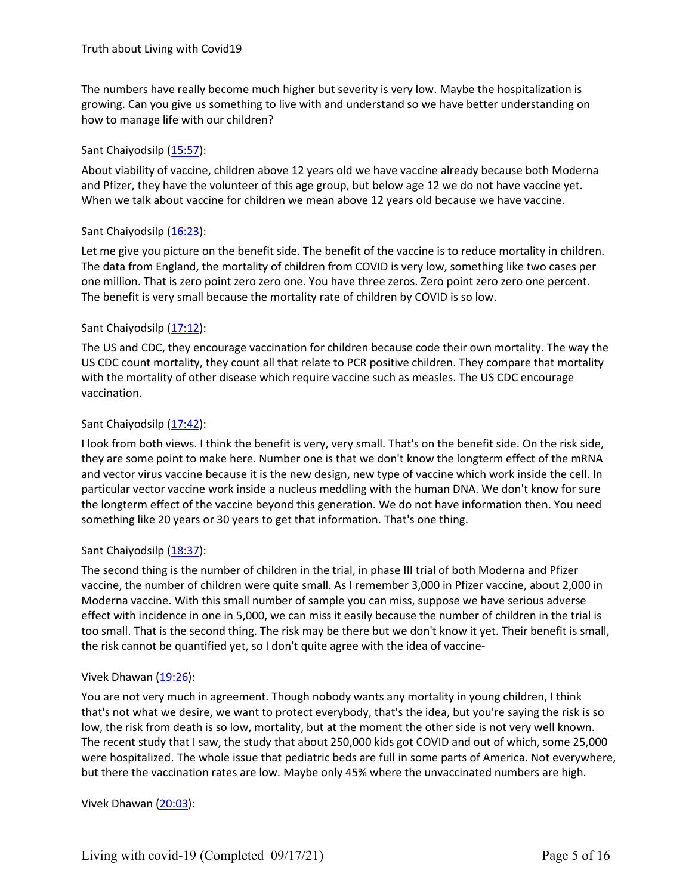The numbers have really become much higher but severity is very low. Maybe the hospitalization is growing. Can you give us something to live with and understand so we have better understanding on how to manage life with our children?

# Sant Chaiyodsilp [\(15:57](https://www.rev.com/transcript-editor/Edit?token=3kDZhfrbC_W_MQIGmnWgFNy-8zsY_SC75tR22QejoTs0RoXbsIIiNxd4TwIZaPdvTJ9zrVY38wNFsYUdQ9OZekvnmMk&loadFrom=DocumentDeeplink&ts=957.35)):

About viability of vaccine, children above 12 years old we have vaccine already because both Moderna and Pfizer, they have the volunteer of this age group, but below age 12 we do not have vaccine yet. When we talk about vaccine for children we mean above 12 years old because we have vaccine.

# Sant Chaiyodsilp [\(16:23](https://www.rev.com/transcript-editor/Edit?token=oiRqM5tV8ThWzRtxlvQvMHYQykjVW2gOADTCZoCO7AqQK2isFkXY9GrDSIqxdy-pDjGPsyyfcuFP8x9jQl_f75OmZOA&loadFrom=DocumentDeeplink&ts=983.49)):

Let me give you picture on the benefit side. The benefit of the vaccine is to reduce mortality in children. The data from England, the mortality of children from COVID is very low, something like two cases per one million. That is zero point zero zero one. You have three zeros. Zero point zero zero one percent. The benefit is very small because the mortality rate of children by COVID is so low.

# Sant Chaiyodsilp [\(17:12](https://www.rev.com/transcript-editor/Edit?token=2YM4Qlcb9bTeFmL6jR8ieVqiML4_ZhgimyEGzkv77TLuzPo1GsaHYCLfBTA40p_f1H9279zpvBi-cczFZ44ds5DRXGk&loadFrom=DocumentDeeplink&ts=1032.55)):

The US and CDC, they encourage vaccination for children because code their own mortality. The way the US CDC count mortality, they count all that relate to PCR positive children. They compare that mortality with the mortality of other disease which require vaccine such as measles. The US CDC encourage vaccination.

# Sant Chaiyodsilp [\(17:42](https://www.rev.com/transcript-editor/Edit?token=MV5aOHjSr11R4V-bazwqNTi6c5spvpAcEeTeGS-6JR0AFx_d0nr_l4iNunEyUeK5aIWGAdWWVpHaxZ2AflbCBwFNH4I&loadFrom=DocumentDeeplink&ts=1062.74)):

I look from both views. I think the benefit is very, very small. That's on the benefit side. On the risk side, they are some point to make here. Number one is that we don't know the longterm effect of the mRNA and vector virus vaccine because it is the new design, new type of vaccine which work inside the cell. In particular vector vaccine work inside a nucleus meddling with the human DNA. We don't know for sure the longterm effect of the vaccine beyond this generation. We do not have information then. You need something like 20 years or 30 years to get that information. That's one thing.

# Sant Chaiyodsilp [\(18:37](https://www.rev.com/transcript-editor/Edit?token=KxGZb0g8qEnDtARwpe5n3Y7fTFgUr4bBeBiwJEsdBcEF3AH4mP9eXC0M8VSXyd9UQSefVqoQzDGj6hNUkhTnMb4kPh8&loadFrom=DocumentDeeplink&ts=1117.72)):

The second thing is the number of children in the trial, in phase III trial of both Moderna and Pfizer vaccine, the number of children were quite small. As I remember 3,000 in Pfizer vaccine, about 2,000 in Moderna vaccine. With this small number of sample you can miss, suppose we have serious adverse effect with incidence in one in 5,000, we can miss it easily because the number of children in the trial is too small. That is the second thing. The risk may be there but we don't know it yet. Their benefit is small, the risk cannot be quantified yet, so I don't quite agree with the idea of vaccine-

#### Vivek Dhawan [\(19:26](https://www.rev.com/transcript-editor/Edit?token=hxobvuK-p15-MQqJKADRvApRvFpw2By0ugtW_sbgidOC83Fqe-qUpebqPsdeYgSfQDjGA48vpiwbsYuf_B6uZCzRrgA&loadFrom=DocumentDeeplink&ts=1166.35)):

You are not very much in agreement. Though nobody wants any mortality in young children, Ithink that's not what we desire, we want to protect everybody, that's the idea, but you're saying the risk is so low, the risk from death is so low, mortality, but at the moment the other side is not very well known. The recent study that I saw, the study that about 250,000 kids got COVID and out of which, some 25,000 were hospitalized. The whole issue that pediatric beds are fullin some parts of America. Not everywhere, but there the vaccination rates are low. Maybe only 45% where the unvaccinated numbers are high.

Vivek Dhawan [\(20:03](https://www.rev.com/transcript-editor/Edit?token=P1GC6LfhhycwlXQFwCZq53RMvZxy5nbDsduClrFvm-FurZnRNfWnvQNZb4QlBMPOBUNMiZxZEjeNd_xL38BAWRLt0sY&loadFrom=DocumentDeeplink&ts=1203.05)):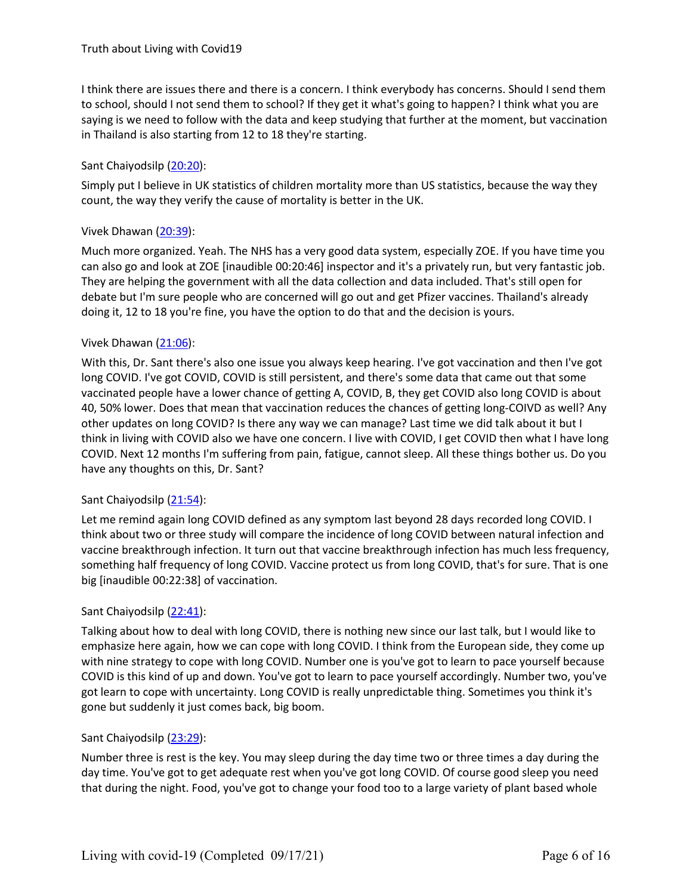I think there are issues there and there is a concern. I think everybody has concerns. Should I send them to school, should I not send them to school? If they get it what's going to happen? I think what you are saying is we need to follow with the data and keep studying that further at the moment, but vaccination in Thailand is also starting from 12 to 18 they're starting.

# Sant Chaiyodsilp [\(20:20](https://www.rev.com/transcript-editor/Edit?token=1D-IHeI7nCBO-79zld8RcfGuBEDDW1vdMlMVUBpzkhS9IR2OqMSXYCnjfaQ8cNOQVHuIc0aFlMMO_xwBbHnR4cg5QSI&loadFrom=DocumentDeeplink&ts=1220.26)):

Simply put I believe in UK statistics of children mortality more than US statistics, because the way they count, the way they verify the cause of mortality is better in the UK.

# Vivek Dhawan [\(20:39](https://www.rev.com/transcript-editor/Edit?token=ZOtqB0oI4V8S9vzFmdB4-z7RvA0Pd1VOIQTmqdHKV1a2LFgzlQQNBbzA0JnwYPmvnmlU_lqbHbpKrwQH9HQH_I011AQ&loadFrom=DocumentDeeplink&ts=1239.61)):

Much more organized. Yeah. The NHS has a very good data system, especially ZOE. If you have time you can also go and look at ZOE [inaudible 00:20:46] inspector and it's a privately run, but very fantastic job. They are helping the government with all the data collection and data included. That's still open for debate but I'm sure people who are concerned will go out and get Pfizer vaccines. Thailand's already doing it, 12 to 18 you're fine, you have the option to do that and the decision is yours.<br>Vivek Dhawan (21:06):

With this, Dr. Sant there's also one issue you always keep hearing. I've got vaccination and then I've got long COVID. I've got COVID, COVID is still persistent, and there's some data that came out that some vaccinated people have a lower chance of getting A, COVID, B, they get COVID also long COVID is about 40, 50% lower. Does that mean that vaccination reduces the chances of getting long-COIVD as well? Any other updates on long COVID? Is there any way we can manage? Last time we did talk about it but I think in living with COVID also we have one concern. I live with COVID, I get COVID then what I have long COVID. Next 12 months I'm suffering from pain, fatigue, cannot sleep. All these things bother us. Do you have any thoughts on this, Dr. Sant?

# Sant Chaiyodsilp [\(21:54](https://www.rev.com/transcript-editor/Edit?token=0FeM6sQP_HgJypuuJU-BRFIiJuBxUn4scvkUsQ8h0K_QxSQl_4awrfaOFmIp57r36DDdyOaJFfZXYuv4gg6qJLmM6wE&loadFrom=DocumentDeeplink&ts=1314.64)):

Let me remind again long COVID defined as any symptom last beyond 28 days recorded long COVID. I think about two or three study will compare the incidence of long COVID between natural infection and vaccine breakthrough infection. It turn out that vaccine breakthrough infection has much less frequency, something half frequency of long COVID. Vaccine protect us from long COVID, that's for sure. That is one big [inaudible 00:22:38] of vaccination.

# Sant Chaiyodsilp [\(22:41](https://www.rev.com/transcript-editor/Edit?token=xj9VpOw1Xpo7BEhC_cDHd5pztBADEz0E8cYHcyBTuF-wgcfvfE1aRk6IFAKmXSQswEqZ9YbHPSka4DjyK6BLlvNj_go&loadFrom=DocumentDeeplink&ts=1361.48)):

Talking about how to deal with long COVID, there is nothing new since our last talk, but I would like to emphasize here again, how we can cope with long COVID. I think from the European side, they come up with nine strategy to cope with long COVID. Number one is you've got to learn to pace yourself because COVID is this kind of up and down. You've got to learn to pace yourself accordingly. Number two, you've got learn to cope with uncertainty. Long COVID is really unpredictable thing. Sometimes you think it's gone but suddenly it just comes back, big boom.

# Sant Chaiyodsilp [\(23:29](https://www.rev.com/transcript-editor/Edit?token=D_d-m3chTBjKHWTK8e_fm-5OZx6TwmPczQI4w7Apma4DCUk7tbk0HHcYtP1-oCz15fmnGAL6qpRR36QBr46hBth3LgY&loadFrom=DocumentDeeplink&ts=1409.36)):

Number three is rest is the key. You may sleep during the day time two or three times a day during the day time. You've got to get adequate rest when you've got long COVID. Of course good sleep you need that during the night. Food, you've got to change your food too to a large variety of plant based whole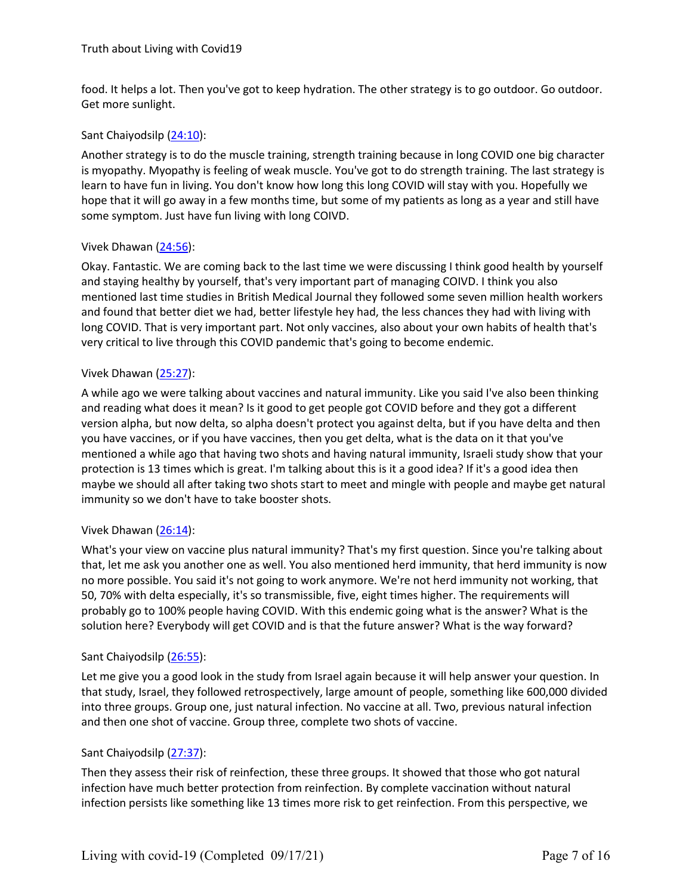food. It helps a lot. Then you've got to keep hydration. The other strategy is to go outdoor. Go outdoor. Get more sunlight.

#### Sant Chaiyodsilp [\(24:10](https://www.rev.com/transcript-editor/Edit?token=VW4KuyTlKSZvc97uhY0PMqVZt_xiMAVdGCXtwYtAHlQJP7rFKfFLxcg1mELuXgRH80omfVkCqPsLrfxQNft8ExM9UU0&loadFrom=DocumentDeeplink&ts=1450.65)):

Another strategy is to do the muscle training, strength training because in long COVID one big character is myopathy. Myopathy is feeling of weak muscle. You've got to do strength training. The last strategy is learn to have fun in living. You don't know how long this long COVID will stay with you. Hopefully we hope that it will go away in a few months time, but some of my patients as long as a year and still have some symptom. Just have fun living with long COIVD.

#### Vivek Dhawan [\(24:56](https://www.rev.com/transcript-editor/Edit?token=81UfZFCxwUgFzGRc6lkOENCp_whME6FJiagKFPF9iZ8troXpdVZQ-ha1WQe5-9hKT5FTS2rRsKpGjjgt4fQXywBysGA&loadFrom=DocumentDeeplink&ts=1496.08)):

Okay. Fantastic. We are coming back to the last time we were discussing I think good health by yourself and staying healthy by yourself, that's very important part of managing COIVD. I think you also mentioned last time studies in British Medical Journal they followed some seven million health workers and found that better diet we had, better lifestyle hey had, the less chances they had with living with long COVID. That is very important part. Not only vaccines, also about your own habits of health that's very critical to live through this COVID pandemic that's going to become endemic.

#### Vivek Dhawan [\(25:27](https://www.rev.com/transcript-editor/Edit?token=UhnbkUcFMI7KhtlcMW3acKtTbjC88Goi8BeHSqRNdgbzAQdfWzjJio1ZLmU5GAoJyHAbvZHnCmjrZ-AOaUuaJFTneLI&loadFrom=DocumentDeeplink&ts=1527.1)):

A while ago we were talking about vaccines and natural immunity. Like you said I've also been thinking and reading what does it mean? Is it good to get people got COVID before and they got a different version alpha, but now delta, so alpha doesn't protect you against delta, but if you have delta and then you have vaccines, or if you have vaccines, then you get delta, what is the data on it that you've mentioned a while ago that having two shots and having natural immunity, Israeli study show that your protection is 13 times which is great. I'm talking about this is it a good idea? If it's a good idea then maybe we should all after taking two shots start to meet and mingle with people and maybe get natural immunity so we don't have to take booster shots.

#### Vivek Dhawan [\(26:14](https://www.rev.com/transcript-editor/Edit?token=xNIpKj1QTm3Y6rMSm238cPldMAokM_k7gh6hBDz45pJ73DjdrdDfbqNszNWQdsEC-xUckOgR-bJfZbaEUqmneNZzXqA&loadFrom=DocumentDeeplink&ts=1574.95)):

What's your view on vaccine plus natural immunity? That's my first question. Since you're talking about that, let me ask you another one as well. You also mentioned herd immunity, that herd immunity is now no more possible. You said it's not going to work anymore. We're not herd immunity not working, that 50, 70% with delta especially, it's so transmissible, five, eight times higher. The requirements will probably go to 100% people having COVID. With this endemic going what is the answer? What is the solution here? Everybody will get COVID and is that the future answer? What is the way forward?

#### Sant Chaiyodsilp [\(26:55](https://www.rev.com/transcript-editor/Edit?token=-rd1uniqblIPon31EfOgjNFKncTNnAsjLC-UAaoG2o3zf51lFTroiMwFornuj1haychho-JyNUvSoTzgWD60hZJU_LQ&loadFrom=DocumentDeeplink&ts=1615.21)):

Let me give you a good look in the study from Israel again because it will help answer your question. In that study, Israel, they followed retrospectively, large amount of people, something like 600,000 divided into three groups. Group one, just natural infection. No vaccine at all. Two, previous natural infection and then one shot of vaccine. Group three, complete two shots of vaccine.

# Sant Chaiyodsilp [\(27:37](https://www.rev.com/transcript-editor/Edit?token=MSDOKSHxfggtCa1vZaB0gTmok_TI6pa3XHhGOboQ-mg8dkXtRykSKHwdTx7bzFAYqUXKS4LMHGrvFnv9eF15hq0oqvw&loadFrom=DocumentDeeplink&ts=1657.03)):

Then they assess their risk of reinfection, these three groups. It showed that those who got natural infection have much better protection from reinfection. By complete vaccination without natural infection persists like something like 13 times more risk to get reinfection. From this perspective, we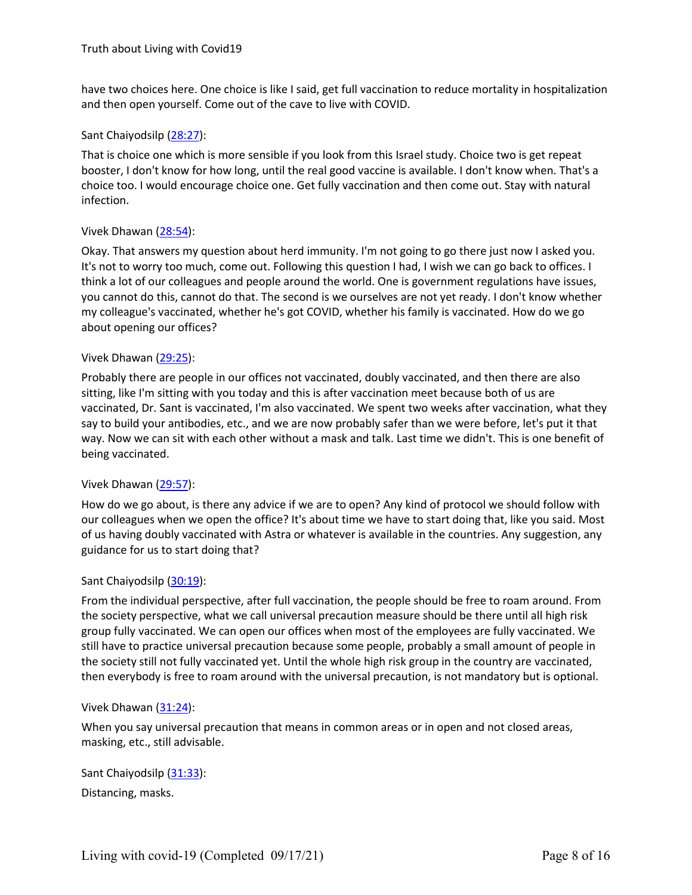have two choices here. One choice is like I said, get full vaccination to reduce mortality in hospitalization and then open yourself. Come out of the cave to live with COVID.

#### Sant Chaiyodsilp [\(28:27](https://www.rev.com/transcript-editor/Edit?token=aZq5JYYxkd-fvf_BVZu7l2LdVuuqE2jp9sNbFsPEGTG87Tz-5F-wTT_RTHeERUup8fIbuLEkOhMNjtLORRaATVFyiuI&loadFrom=DocumentDeeplink&ts=1707.5)):

That is choice one which is more sensible if you look from this Israel study. Choice two is get repeat booster, I don't know for how long, until the real good vaccine is available. I don't know when. That's a choice too. I would encourage choice one. Get fully vaccination and then come out. Stay with natural infection.

#### Vivek Dhawan [\(28:54](https://www.rev.com/transcript-editor/Edit?token=IJ9VcYB612yRqAQ3ZRRPaWgePXe4rQ6dQAA7qY1jTWzwgRFUsQ8Vj0qHuTsZhxfJ7WQ4hBorUuzxKsiA6prI4Chxu_c&loadFrom=DocumentDeeplink&ts=1734.35)):

Okay. That answers my question about herd immunity. I'm not going togo there just now I asked you. It's not to worry too much, come out. Following this question I had, I wish we can go back to offices. I think a lot of our colleagues and people around the world. One is government regulations have issues, you cannot do this, cannot do that. The second is we ourselves are not yetready. I don't know whether my colleague's vaccinated, whether he's got COVID, whether his family is vaccinated. How do we go about opening our offices?

#### Vivek Dhawan [\(29:25](https://www.rev.com/transcript-editor/Edit?token=H95FIThL-tnXA8bJz-z4tuybMjMOyy_WZAtPXHUWFpDORT10kVMzfFXl0KOSd2TcIyOd7K1Sec_ZEV-ytqGK7pb7uWA&loadFrom=DocumentDeeplink&ts=1765.61)):

Probably there are people in our offices not vaccinated, doubly vaccinated, and then there are also sitting, like I'm sitting with you today and this isafter vaccination meet because both of us are vaccinated, Dr. Sant is vaccinated, I'm also vaccinated. We spent two weeks after vaccination, what they say to build your antibodies, etc., and we are now probably safer than we were before, let's put it that way. Now we can sit with each other without a mask and talk. Last time we didn't. This is one benefitof being vaccinated.

# Vivek Dhawan [\(29:57](https://www.rev.com/transcript-editor/Edit?token=8aga-OP0b6LUoA25IAabgr_cQzDX_KtiRBJtLBbjq-k_vq2FlyL69xAQ-MCHi5VsT-JV8pWpdHLUExkvjdCxFDbir6U&loadFrom=DocumentDeeplink&ts=1797.14)):

How do we go about, is there any advice if we are to open? Any kind of protocol we should follow with our colleagues when we open the office? It's about time we have to start doing that, like you said. Most of us having doubly vaccinated with Astra or whatever is available in the countries. Any suggestion, any guidance for us to start doing that?

#### Sant Chaiyodsilp [\(30:19](https://www.rev.com/transcript-editor/Edit?token=rx2JUvnWxFBvst69jef4CIJmBljbByAO5kEf2L50vIv76iq1sisJCSp55mZrLmIvL90vTrANltk84htOVmftEQsF2Hk&loadFrom=DocumentDeeplink&ts=1819.26)):

From the individual perspective, after full vaccination, the people should be free to roam around. From the society perspective, what we call universal precaution measure should be there until all high risk group fully vaccinated. We can open our offices when most of the employees are fully vaccinated. We still have to practice universal precaution because some people, probably a small amount of people in the society still not fully vaccinated yet. Until the whole high risk group in the country are vaccinated, then everybody is free to roam around with the universal precaution, is not mandatory but is optional.

#### Vivek Dhawan [\(31:24](https://www.rev.com/transcript-editor/Edit?token=2Ns5tep5ia9TUTc8v9dJt1e35r9yprmcFXu3PWBYxxyRX_VBRq33L_PSSj6PYok89xBsX69Rn32jFfMmkS2z3asBYek&loadFrom=DocumentDeeplink&ts=1884.36)):

When you say universal precaution that means in common areas or in open and not closed areas, masking, etc., still advisable.

Sant Chaiyodsilp [\(31:33](https://www.rev.com/transcript-editor/Edit?token=Hc9qpdhrQs-c-BDPz82EWXt6zYLXDsi9g4nMpPJX_amxWWQw8QC6pFMa13DPGpXwRf58VLOcCk5V1H_aPX_yYfBdubA&loadFrom=DocumentDeeplink&ts=1893.51)): Distancing, masks.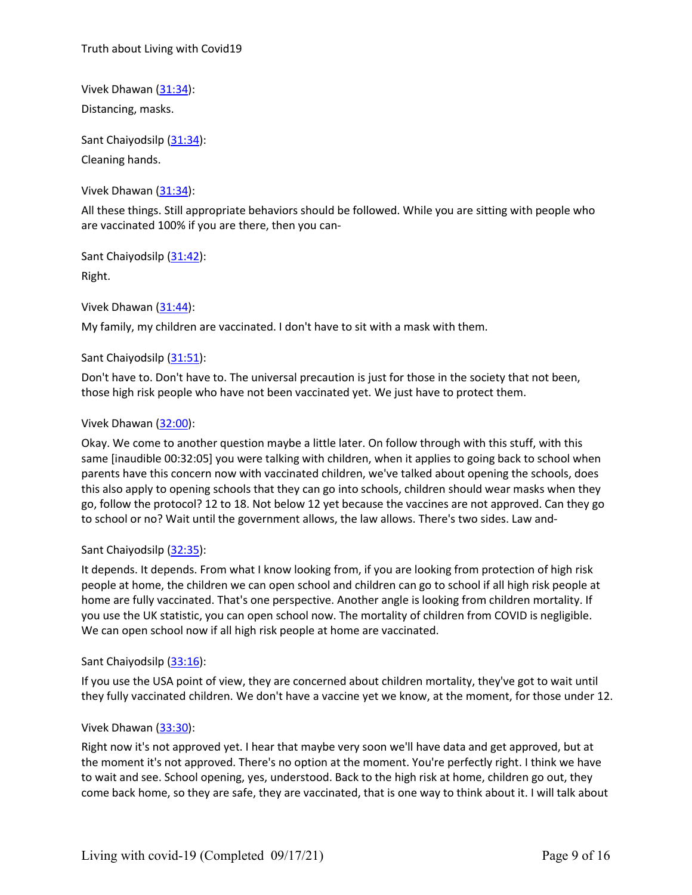Truth about Living with Covid19

Vivek Dhawan [\(31:34](https://www.rev.com/transcript-editor/Edit?token=WtW4Lw3bPi-Ke52ix4OkKIfM7oVFYTMXXgFONpobXfdsN8N7pjdsr_OFJ_DGPkSNawtOU-w5OWXZs2WOcBKer7R4ZZs&loadFrom=DocumentDeeplink&ts=1894.06)): Distancing, masks.

Sant Chaiyodsilp [\(31:34](https://www.rev.com/transcript-editor/Edit?token=DQun18id-M10DnYrwcJi1dcLE1cRvxtDrLoDBtPeEzqlNTCimXk-8p63LC2PYKzJEGx5ho-wXIJHLQsT4KbE9_UtvkA&loadFrom=DocumentDeeplink&ts=1894.06)): Cleaning hands.

Vivek Dhawan  $(31:34)$  $(31:34)$ :

All these things. Still appropriate behaviors should be followed. While you are sitting with people who are vaccinated 100% if you are there, then you can-

Sant Chaiyodsilp [\(31:42](https://www.rev.com/transcript-editor/Edit?token=Nd-bQfXpVI2yA5eBZVuIxOaH9hiSUJnxGb_V1FGX_5a5ROT5y2t5L2RBeNKfNAUXU3vWHLtoZIcwxIRWU6WBlx1SWXk&loadFrom=DocumentDeeplink&ts=1902.99)): Right.

Vivek Dhawan [\(31:44](https://www.rev.com/transcript-editor/Edit?token=hNGvq3bBQTBR13vzhLjKx_L8y0DwIQs9sFvNL3Pag8fGrq9PUWC9GmqS2ABYyi0m59ypnARcAB25eS0SQ3egwG6WKRQ&loadFrom=DocumentDeeplink&ts=1904.16)):

My family, my children are vaccinated. I don't have to sit with a mask with them.

# Sant Chaiyodsilp [\(31:51](https://www.rev.com/transcript-editor/Edit?token=XGYIZo3UEIx2T7x0XHvu9tLXGnKbpPPRLLz5CwJwnAoNNtgszvvbiB4ch7y7Gr_AT27Uw8IrqV2P6ULQ0Wi93UOLloU&loadFrom=DocumentDeeplink&ts=1911.08)):

Don't have to. Don't have to. The universal precaution is just for those in the society that not been, those high risk people who have not been vaccinated yet. We just have to protect them.

# Vivek Dhawan [\(32:00](https://www.rev.com/transcript-editor/Edit?token=0Dcjg1wHxXIYi6djxa1SO-u6JlDyPMuWyR8k9tfiSkb6WXgNSmDRYb7iS1FvdFICtPdkQjGQqWmpBS0raVtICoAOobA&loadFrom=DocumentDeeplink&ts=1920.18)):

Okay. We come to another question maybe a little later. On follow through with this stuff, with this same [inaudible 00:32:05] you were talking with children, when it applies to going back to school when parents have this concern now with vaccinated children, we've talked about opening the schools, does this also apply to opening schools that they can go into schools, children should wear masks when they go, follow the protocol? 12 to 18. Not below 12 yet because the vaccines are not approved. Can they go to school or no? Wait until the government allows, the law allows. There's two sides. Law and-

# Sant Chaiyodsilp [\(32:35](https://www.rev.com/transcript-editor/Edit?token=vxu8JwJhsCisP5xowbtJi5V-zBVyKAQgk-_A-KoQlWWzBTRuZ2XUYUU5mGF3818nPdqxBdc3guCHmr7eee8xp-tIs5Y&loadFrom=DocumentDeeplink&ts=1955.21)):

It depends. It depends. From what I know looking from, if you are looking from protection of high risk people at home, the children we can open school and children can go to school if all high risk people at home are fully vaccinated. That's one perspective. Another angle is looking from children mortality. If you use the UK statistic, you can open school now. The mortality of children from COVID is negligible. We can open school now if all high risk people at home are vaccinated.

# Sant Chaiyodsilp [\(33:16](https://www.rev.com/transcript-editor/Edit?token=CNYzFu9Q2NgKLyPS2veQLFoYFT4tH_3my6_nT41tO-STMxxEhv9hxWz-sbGPMvwXlNUEUG03jMHMfRyhS9nBTqHYC2I&loadFrom=DocumentDeeplink&ts=1996.44)):

If you use the USA point of view, they are concerned about children mortality, they've got to wait until they fully vaccinated children. We don't have a vaccine yet we know, at the moment, for those under 12.

# Vivek Dhawan [\(33:30](https://www.rev.com/transcript-editor/Edit?token=lqS2wkXVQNhgtfkpq6qpcBcX4MLMZFY0MNqn9DtL-VWTFbp-KjB-_mISV6wFkDjXOJXXJ2yWqLzyVN3DVr3SpTj4EPc&loadFrom=DocumentDeeplink&ts=2010.65)):

Right now it's not approved yet. I hear that maybe very soon we'll have data and get approved, but at the moment it's not approved. There's no option at the moment. You're perfectly right. I think we have to wait and see. School opening, yes, understood. Back to the high risk at home, children go out, they come back home, so they are safe, they are vaccinated, that is one way to think about it. I will talk about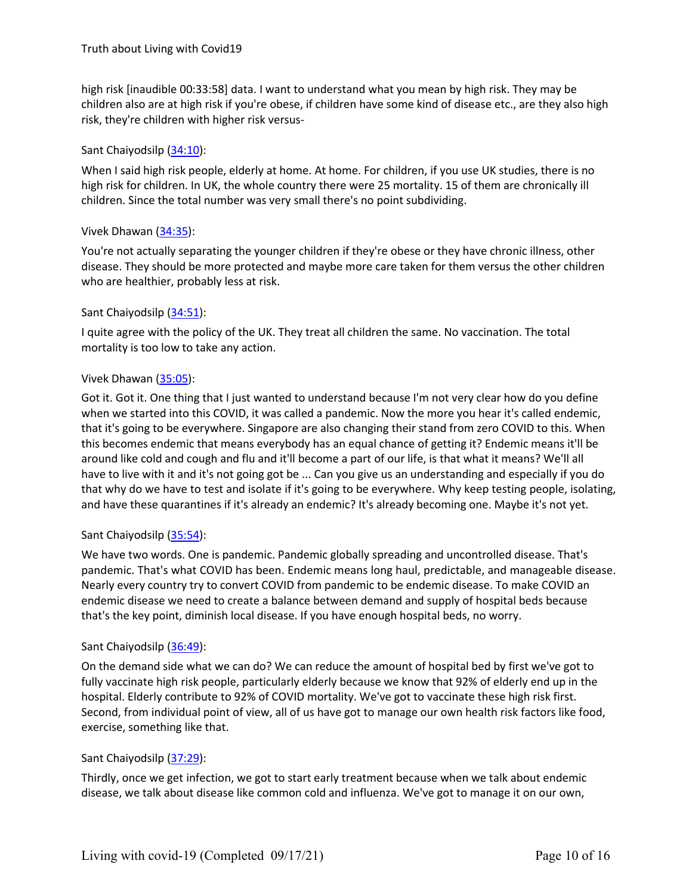high risk [inaudible 00:33:58] data. I want to understand what you mean by high risk. They may be children also are at high risk if you're obese, if children have some kind of disease etc., are they also high risk, they're children with higher risk versus-

#### Sant Chaiyodsilp [\(34:10](https://www.rev.com/transcript-editor/Edit?token=ktsl42HtJqUeB_Aduhy9mGk50Ld521_dvd35NsOHCgT6nedy1Vi5N-j8bftkBdBZLGYWXGn4FrEpwQzJwDmTnDeUzMQ&loadFrom=DocumentDeeplink&ts=2050.33)):

When I said high risk people, elderly at home. At home. For children, if you use UK studies, there is no high risk for children. In UK, the whole country there were 25 mortality. 15 of them are chronically ill children. Since the total number was very small there's no point subdividing.

#### Vivek Dhawan [\(34:35](https://www.rev.com/transcript-editor/Edit?token=dzD9mctdhiYT4mSulZf8MuGpdKLQWDIM-F3f7_cXKNaXWRTW6z-LYMLE4gPFXusvkPrNfsaxXTsBXHC2knydl0RHDjY&loadFrom=DocumentDeeplink&ts=2075.72)):

You're not actually separating the younger children if they're obese or they have chronic illness, other disease. They should be more protected and maybe more care taken for them versus the other children who are healthier, probably less at risk.

#### Sant Chaiyodsilp [\(34:51](https://www.rev.com/transcript-editor/Edit?token=pkjyCiovwVM6lKvintR3rB7IJydR94L8vztiIw-CigUCf3cabcrNgMDYWWLbAA4AB3yJ5n3vON0iBY8qXKJ-ycdood0&loadFrom=DocumentDeeplink&ts=2091.14)):

I quite agree with the policy of the UK. They treat all children the same. No vaccination. The total mortality is too low to take any action.<br>Vivek Dhawan (35:05):

Got it. Got it. One thing that I just wanted to understand because I'm not very clear how do you define when we started into this COVID, it was called a pandemic. Now the more you hear it's called endemic, that it's going to be everywhere. Singapore are also changing their stand from zero COVID to this. When this becomes endemic that means everybody has an equal chance of getting it? Endemic means it'll be around like cold and cough and flu and it'll become a part of our life, is that what it means? We'll all have to live with it and it's not going got be ... Can you give us an understanding and especially if you do that why do we have to test and isolate if it's going to be everywhere. Why keep testing people, isolating, and have these quarantines if it's already an endemic? It's already becoming one. Maybe it's not yet.

# Sant Chaiyodsilp [\(35:54](https://www.rev.com/transcript-editor/Edit?token=aUwS8x7eV1VLQGTjqsGGPMYsWMamqZzYV_Dj_3f1RA-FGgqb_PcXzfZ7YaGh0VtnT4ZuIwF4RR76_1PYf37UQEXZWMY&loadFrom=DocumentDeeplink&ts=2154.6)):

We have two words. One is pandemic. Pandemic globally spreading and uncontrolled disease. That's pandemic. That's what COVID has been. Endemic means long haul, predictable, and manageable disease. Nearly every country try to convert COVID from pandemic to be endemic disease. To make COVID an endemic disease we need to create a balance between demand and supply of hospital beds because that's the key point, diminish local disease. If you have enough hospital beds, no worry.

#### Sant Chaiyodsilp [\(36:49](https://www.rev.com/transcript-editor/Edit?token=pIKPvndwB35tKTJPZFlyLD0toilSiJbbKrSpqmVBL5vmIgy3luiiyokCzh5Chs-RwzcKGpO1c_C7I6YbNnpIqs6T1IA&loadFrom=DocumentDeeplink&ts=2209.92)):

On the demand side what we can do? We can reduce the amount of hospital bed by first we've got to fully vaccinate high risk people, particularly elderly because we know that 92% of elderly end up in the hospital. Elderly contribute to 92% of COVID mortality. We've got to vaccinate these high risk first. Second, from individual point of view, all of us have got to manage our own health risk factors like food, exercise, something like that.

# Sant Chaiyodsilp [\(37:29](https://www.rev.com/transcript-editor/Edit?token=FNjzQKhM0EuAWYGSP6F49MGuXo2QyoRYG5WVKK4GmCIZDaDTo12AhP8cys5CNlRJttwOAXoY8TowfYOTmTtub1cMzHQ&loadFrom=DocumentDeeplink&ts=2249.87)):

Thirdly, once we get infection, we got to start early treatment because when we talk about endemic disease, we talk about disease like common cold and influenza. We've got to manage it on our own,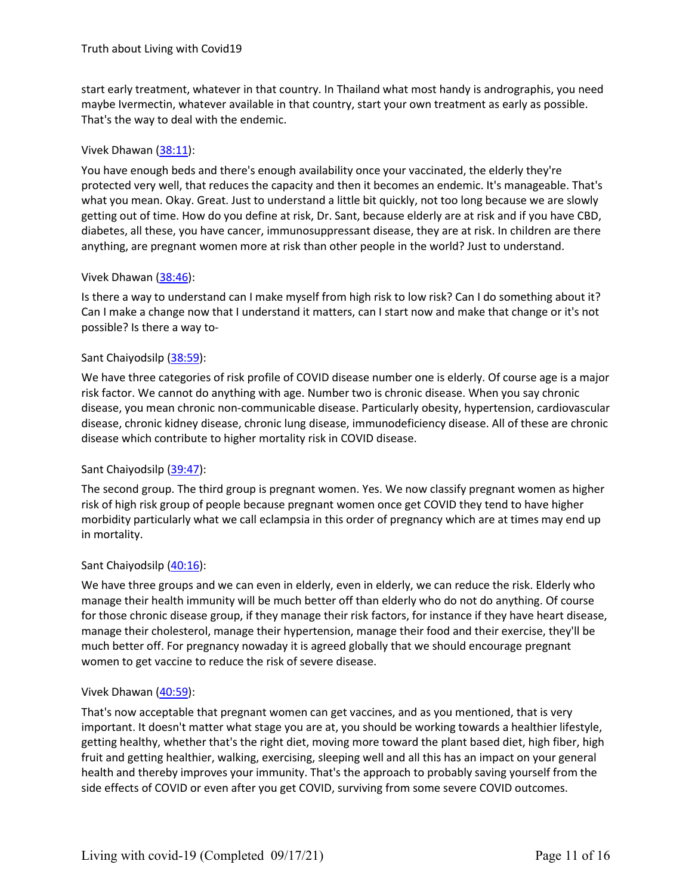start early treatment, whatever in that country. In Thailand what most handy is andrographis, you need maybe Ivermectin, whatever available in that country, start your own treatment as early as possible. That's the way to deal with the endemic.

# Vivek Dhawan [\(38:11](https://www.rev.com/transcript-editor/Edit?token=ZWu-YB2aCcPJ0bOrbD7BPjTVXhCm7BO-ps3BHQtMdlOn-kyceN8ruRseQZsMayKt5BI_ANLyom0J3J7pyxKUSqFjiPA&loadFrom=DocumentDeeplink&ts=2291.43)):

You have enough beds and there's enough availability once your vaccinated, the elderly they're protected very well, that reduces the capacity and then it becomes an endemic. It's manageable. That's what you mean. Okay. Great. Just to understand a little bit quickly, not too long because we are slowly getting out of time. How do you define at risk, Dr. Sant, because elderly are at risk and if you have CBD, diabetes, all these, you have cancer, immunosuppressant disease, they are at risk. In children are there anything, are pregnant women more at risk than other people in the world? Just to understand.

# Vivek Dhawan [\(38:46](https://www.rev.com/transcript-editor/Edit?token=65M_fhET3gYiVVGyyDZYn2F52mkvirnIMsnxAG-FxPiYSJycMSXFTjFca7fR_x3qbUOXH0Y-Tj1g91udVT2gjysIFVE&loadFrom=DocumentDeeplink&ts=2326.27)):

Is there a way to understand can I make myself from high risk to low risk? Can I do something about it? Can I make a change now that I understand it matters, can I start now and make that change or it's not possible? Is there a way to-<br>Sant Chaiyodsilp (38:59):

We have three categories of risk profile of COVID disease number one is elderly. Of course age is a major risk factor. We cannot do anything with age. Number two is chronic disease. When you say chronic disease, you mean chronic non-communicable disease. Particularly obesity, hypertension, cardiovascular disease, chronic kidney disease, chronic lung disease, immunodeficiency disease. All of these are chronic disease which contribute to higher mortality risk in COVID disease.

# Sant Chaiyodsilp [\(39:47](https://www.rev.com/transcript-editor/Edit?token=WRSh29DJjrjL5lf3ULepDRl7VglYgqYlA48y6c9AhELx7kvpB3yjnsz9j1HefZHdZ1OLPXpFYM8AxahnSE7Rp9eJJxo&loadFrom=DocumentDeeplink&ts=2387.16)):

The second group. The third group is pregnant women. Yes. We now classify pregnant women as higher risk of high risk group of people because pregnant women once get COVID they tend to have higher morbidity particularly what we call eclampsia in this order of pregnancy which are at times may end up in mortality.

# Sant Chaiyodsilp [\(40:16](https://www.rev.com/transcript-editor/Edit?token=kRIJranDNDrUHDiGBXeTMRlYHaJNxDcaheC9tR6H8tgl0P7O1tdWlfGVWorznaU52uViBeQpVbGhOLHgvdrhhccB0so&loadFrom=DocumentDeeplink&ts=2416.36)):

We have three groups and we can even in elderly, even in elderly, we can reduce the risk. Elderly who manage their health immunity will be much better offthan elderly who do not do anything. Of course for those chronic disease group, if they manage their risk factors, for instance if they have heart disease, manage their cholesterol, manage their hypertension, manage their food and their exercise, they'll be much better off. For pregnancy nowaday it is agreed globally that we should encourage pregnant women to get vaccine to reduce the risk of severe disease.

# Vivek Dhawan [\(40:59](https://www.rev.com/transcript-editor/Edit?token=AzVvUBusSq7chTzTGuAbSVNnEI_qnLPgo1TJiVEDNsRCmtw5dadUAFq2wbCyf_TZKBbL4JukXXIESuDtf6JSoBS70Iw&loadFrom=DocumentDeeplink&ts=2459.87)):

That's now acceptable that pregnant women can get vaccines, and as you mentioned, that is very important. It doesn't matter what stage you are at, you should be working towards a healthier lifestyle, getting healthy, whether that's the right diet, moving more toward the plant based diet, high fiber, high fruit and getting healthier, walking, exercising, sleeping well and all this has an impact on your general health and thereby improves your immunity. That's the approach to probably saving yourself from the side effects of COVID or even after you get COVID, surviving from some severe COVID outcomes.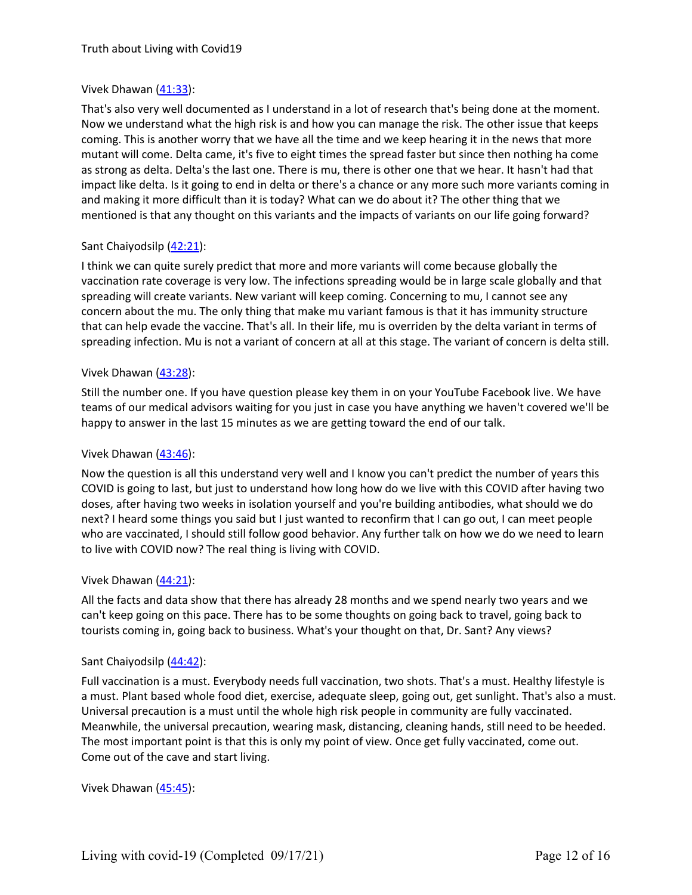# Vivek Dhawan [\(41:33](https://www.rev.com/transcript-editor/Edit?token=zrsag2J5l1pScOi6pxRHa-Kdw0PfOiafOMm1e4wNqdD8Eo51ErFtv1dST8-MowQKMRv3-InGpa30x51W4no_zQwQLB4&loadFrom=DocumentDeeplink&ts=2493.46)):

That's also very well documented as I understand in a lot of research that's being done at the moment. Now we understand what the high risk is and how you can manage the risk. The other issue that keeps coming. This is another worry that we have all the time and we keep hearing it in the news that more mutant will come. Delta came, it's five to eight times the spread faster but since then nothing ha come as strong as delta. Delta's the last one. There is mu, there is other one that we hear. It hasn't had that impact like delta. Is it going to end in delta or there's a chance or any more such more variants coming in and making it more difficult than it is today? What can we do about it? The other thing that we mentioned is that any thought on this variants and the impacts of variants on our life going forward?

# Sant Chaiyodsilp [\(42:21](https://www.rev.com/transcript-editor/Edit?token=qn7ZmpW33XsoaVEq6BmcGnp7UpMO-a30jKezQ66jMWdO3LkD2d37fjQPj6lPEsaHJb7GjdkD-dZzz-UjwdIRqoQC4gE&loadFrom=DocumentDeeplink&ts=2541.46)):

I think we can quite surely predict that more and more variants will come because globally the vaccination rate coverage is very low. The infections spreading would be in large scale globally and that spreading will create variants. New variant will keep coming. Concerning to mu, I cannot see any concern about the mu. The only thing that make mu variant famous is that it has immunity structure that can help evade the vaccine. That's all. In their life, mu is overriden by the delta variant in terms of spreading infection. Mu is not a variant of concern at all at this stage. The variant of concern is delta still.

# Vivek Dhawan [\(43:28](https://www.rev.com/transcript-editor/Edit?token=LsJp_lcelEnXq4rtjMBgQ7iI-LlmmZ-rCCBfcllStOwlp1tS9gSgm-RZHJncHVanWJ1d4mozAjyXNLrHDYnVjcZNA8k&loadFrom=DocumentDeeplink&ts=2608.53)):

Still the number one. If you have question please key them in on your YouTube Facebook live. We have teams of our medical advisors waiting for you just in case you have anything we haven't covered we'll be happy to answer in the last 15 minutes as we are getting toward the end of our talk.

# Vivek Dhawan [\(43:46](https://www.rev.com/transcript-editor/Edit?token=Nr-PbeYvBAUGlFXsYdLR5MZBaryDDRjY_0uI3ofxwFnD5UEsSdEr3X6WBPiyrd9T2tgj6o-doeDoeUjvIDY6fta4aTo&loadFrom=DocumentDeeplink&ts=2626.19)):

Now the question is all this understand very well and I know you can't predict the number of years this COVID is going to last, but just to understand how long how do we live with this COVID after having two doses, after having two weeks in isolation yourself and you're building antibodies, what should we do next? I heard some things you said but I just wanted to reconfirm that I can go out, I can meet people who are vaccinated, I should still follow good behavior. Any further talk on how we do we need to learn to live with COVID now? The real thing is living with COVID.

# Vivek Dhawan [\(44:21](https://www.rev.com/transcript-editor/Edit?token=6ZJ5I2Aa65Tz5iRPWeyMhvZyhsxAX8qTArySi-ibIQhMLxdW1P5s-pDalLrKKqpkp84UK7noxdJu_zndkalM_5K8bcQ&loadFrom=DocumentDeeplink&ts=2661.68)):

All the facts and data show that there has already 28 months and we spend nearly two years and we can't keep going on this pace. There has to be some thoughts on going back to travel, going back to tourists coming in, going back to business. What's your thought on that, Dr. Sant? Any views?

# Sant Chaiyodsilp [\(44:42](https://www.rev.com/transcript-editor/Edit?token=7wbG8FcxXZeJFqfh1s7YyY7G6y6bV1D0NP11YDP5Gfa6oHCpHYWpeVTfj_zTGAbypX7iyGXHY9ebkeDHqqyZSN3sAL4&loadFrom=DocumentDeeplink&ts=2682.03)):

Full vaccination is a must. Everybody needs full vaccination, two shots. That's a must. Healthy lifestyle is a must. Plant based whole food diet, exercise, adequate sleep, going out, get sunlight. That's also a must. Universal precaution is a must until the whole high risk people in community are fully vaccinated. Meanwhile, the universal precaution, wearing mask, distancing, cleaning hands, still need to be heeded. The most important point is that this is only my point of view. Once get fully vaccinated, come out. Come out of the cave and start living.

Vivek Dhawan [\(45:45](https://www.rev.com/transcript-editor/Edit?token=GOId0CFlE8KRMDnJFCOtlbIoyFeO_nmDeHI0WBaykmSuzzYGtsMTPYX4nCNcFMSMs_3G6ITKTKnJoY5xRoqUgbcKxmw&loadFrom=DocumentDeeplink&ts=2745.64)):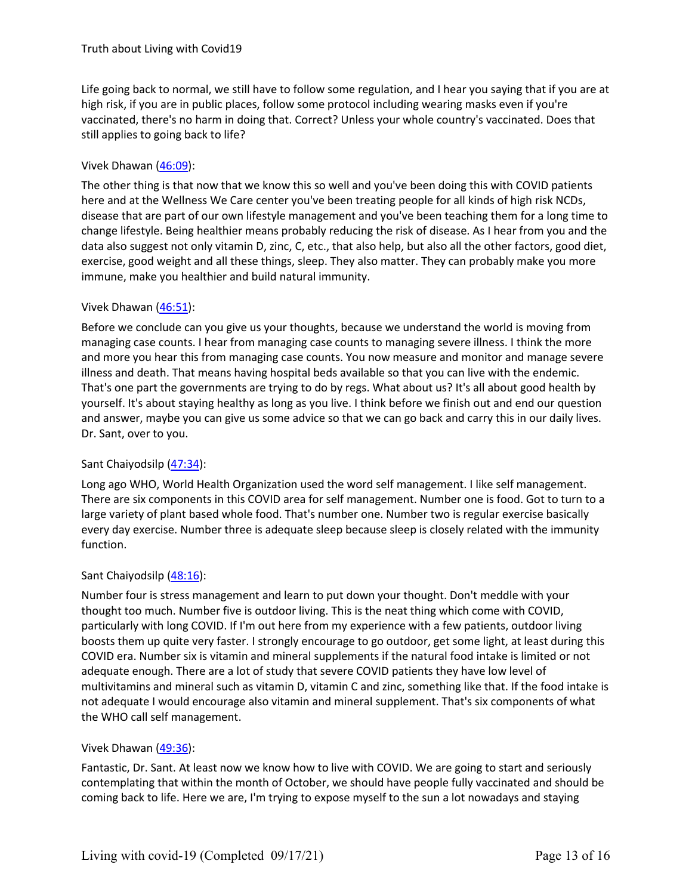Life going back to normal, we still have to follow some regulation, and I hear you saying that if you are at high risk, if you are in public places, follow some protocol including wearing masks even if you're vaccinated, there's no harm in doing that. Correct? Unless your whole country's vaccinated. Does that still applies to going back to life?

# Vivek Dhawan [\(46:09](https://www.rev.com/transcript-editor/Edit?token=YzayCUi76sRlgAFtbEcETq-ej7FQ-IG9w8XCI5BaZTTrOmk8-8HDaZdOE0g2xrWvWRpFM5SypDLBNanpIrK2TCf_gZA&loadFrom=DocumentDeeplink&ts=2769.63)):

The other thing is that now that we know this so well and you've been doing this with COVID patients here and at the Wellness We Care center you've been treating people for all kinds of high risk NCDs, disease that are part of our own lifestyle management and you've been teaching them for a long time to change lifestyle. Being healthier means probably reducing the risk of disease. As I hear from you and the data also suggest not only vitamin D, zinc, C, etc., that also help, but also all the other factors, good diet, exercise, good weight and all these things, sleep. They also matter. They can probably make you more immune, make you healthier and build natural immunity.

# Vivek Dhawan [\(46:51](https://www.rev.com/transcript-editor/Edit?token=TOmIzsFknFeuWOR9FlIDjzHjXGYEjoPRlNBuDN0Z0PpUnJ8ipEQ49Riu3Rb-TEghAC7GOMI3zEG4qIiQ85O9ydnVGwg&loadFrom=DocumentDeeplink&ts=2811.42)):

Before we conclude can you give us your thoughts, because we understand the world is moving from managing case counts. I hear from managing case counts to managing severe illness. I think the more and more you hear this from managing case counts. You now measure and monitor and manage severe illness and death. That means having hospital beds available so that you can live with the endemic. That's one part the governments are trying to do by regs. What about us? It's all about good health by yourself. It's about staying healthy as long as you live. I think before we finish out and end our question and answer, maybe you can give us some advice so that we can go back and carry this in our daily lives. Dr. Sant, over to you.

# Sant Chaiyodsilp [\(47:34](https://www.rev.com/transcript-editor/Edit?token=3WDWJ1iRK6IkRbeSd5K9i3oqpsbgPa5vUMdzWPZ5kobcz-Rtvn5Ukjz-ZBKE4AjBWSoeb0bsETVjSa4KnBhCRLw-YYM&loadFrom=DocumentDeeplink&ts=2854.09)):

Long ago WHO, World Health Organization used the word self management. I like self management. There are six components in this COVID area for self management. Number one is food. Got to turn to a large variety of plant based whole food. That's number one. Number two is regular exercise basically every day exercise. Number three is adequate sleep because sleep is closely related with the immunity function.

# Sant Chaiyodsilp [\(48:16](https://www.rev.com/transcript-editor/Edit?token=VTl9JbNfad_1vnM9ld95ksYDWLtNvxdFqLyHavjRMTFlnMDOjU5L7-6hjiFB6lGgnsYrZwk7QcuqGShTPP4j_1nwWec&loadFrom=DocumentDeeplink&ts=2896.64)):

Number four is stress management and learn to put down your thought. Don't meddle with your thought too much. Number five is outdoor living. This is the neat thing which come with COVID, particularly with long COVID. If I'm out here from my experience with a few patients, outdoor living boosts them up quite very faster. I strongly encourage to go outdoor, get some light, at least during this COVID era. Number six isvitamin and mineral supplements if the natural food intake is limited or not adequate enough. There are a lot of study that severe COVID patients they have low level of multivitamins and mineral such as vitamin D, vitamin C and zinc, something like that. If the food intake is not adequate I would encourage also vitamin and mineral supplement. That's six components of what the WHO call self management.

# Vivek Dhawan [\(49:36](https://www.rev.com/transcript-editor/Edit?token=sShXExBKjOVt6-ICWf11a2le-HIOK8zp-kdfGsbU7-jNa-JQnMFVpBNYmSqmZCZ61wkqC85pJvpEOI4kcut6xwzTEoc&loadFrom=DocumentDeeplink&ts=2976.3)):

Fantastic, Dr. Sant. At least now we know how to live with COVID. We are going to start and seriously contemplating that within the month of October, we should have people fully vaccinated and should be coming back to life. Here we are, I'm trying to expose myself to the sun a lot nowadays and staying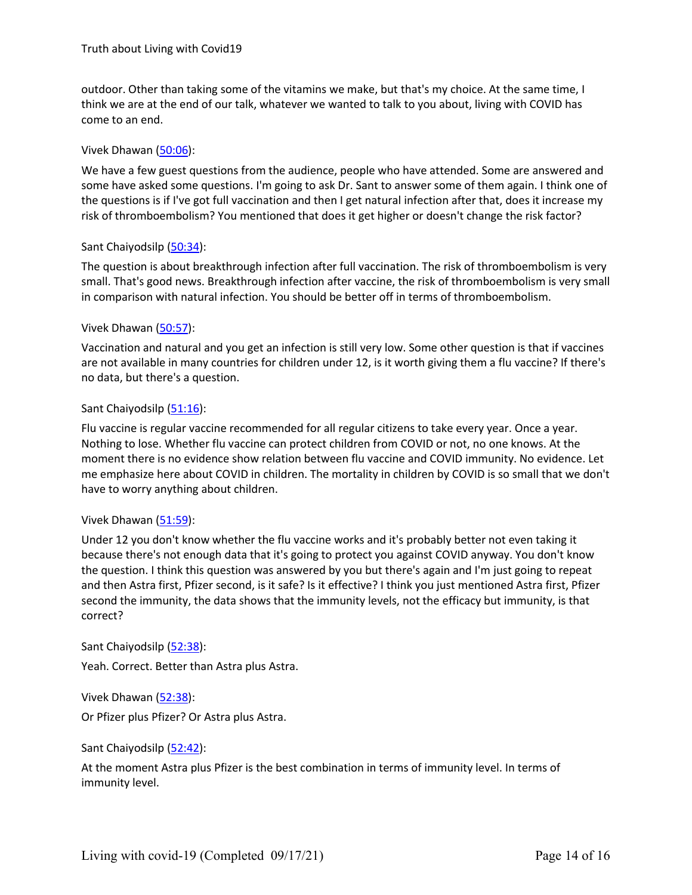outdoor. Other than taking some of the vitamins we make, but that's my choice. At the same time, I think we are at the end of our talk, whatever we wanted to talk to you about, living with COVID has come to an end.

#### Vivek Dhawan [\(50:06](https://www.rev.com/transcript-editor/Edit?token=zxhMB5tBdXDk7xYidELaopAH9Ox8ajP-oc9B3JbmAUm7tzcRJnJdQpw7FYOdi5kWb6eIPn1NXZsLOADD4BA2BMgwjB4&loadFrom=DocumentDeeplink&ts=3006.56)):

We have a few guest questions from the audience, people who have attended. Some are answered and some have asked some questions. I'm going to ask Dr. Sant to answer some of them again. I think one of the questions is if I've got full vaccination and then I get natural infection after that, does it increase my risk of thromboembolism? You mentioned that does it get higher or doesn't change the risk factor?

#### Sant Chaiyodsilp [\(50:34](https://www.rev.com/transcript-editor/Edit?token=c3ElHOOyvbp7jj3Pt3-YSZb_1_3arZMKdmHoHY9qJK9gLR0v5wQ5PGWGyCmPyPyumeDuYqnzzv4jqYzddVHERBPLOko&loadFrom=DocumentDeeplink&ts=3034.6)):

The question is about breakthrough infection after full vaccination. The risk of thromboembolism is very small. That's good news. Breakthrough infection after vaccine, the risk of thromboembolism is very small in comparison with natural infection. You should be better off in terms of thromboembolism.

#### Vivek Dhawan [\(50:57](https://www.rev.com/transcript-editor/Edit?token=OzZFnjIfo6p7-jIrnSICqG2IX01SIGD_x0zp89qs1xJYi28REYbvO3j3eXLv7nio7Mnc6oonSdm7cMa7t9ufEZ15Zec&loadFrom=DocumentDeeplink&ts=3057.79)):

Vaccination and natural and you get an infection is still very low. Some other question is that if vaccines are not available in many countries for children under 12, is it worth giving them a flu vaccine? If there's no data, but there's a question.

#### Sant Chaiyodsilp [\(51:16](https://www.rev.com/transcript-editor/Edit?token=kluTlS7Oz9m4R1JD65P1416om13XBrMgWQ25K5AtpV1QUIX_aF986oKfQvUxAHp8Nhz39unBcbP41H6EgXcp724zKZk&loadFrom=DocumentDeeplink&ts=3076.75)):

Flu vaccine is regular vaccine recommended for all regular citizens to take every year. Once a year. Nothing to lose. Whether flu vaccine can protect children from COVID or not, no one knows. At the moment there is no evidence show relation between flu vaccine and COVID immunity. No evidence. Let me emphasize here about COVID in children. The mortality in children by COVID is so small that we don't have to worry anything about children.

#### Vivek Dhawan [\(51:59](https://www.rev.com/transcript-editor/Edit?token=BHG5poJlNHf8kELxRyC7hBdUKrEyzIm5pSbZS9DfanAjPmI_oaLMMiEciN5O9wg8t_WO8fFcJ9q2DMusfC1lb4WB2BE&loadFrom=DocumentDeeplink&ts=3119.95)):

Under 12 you don't know whether the flu vaccine works and it's probably better not even taking it because there's not enough data that it's going to protect you against COVID anyway. You don't know the question. I think this question was answered by you but there's again and I'm just going to repeat and then Astra first, Pfizer second, is it safe? Is it effective? I think you just mentioned Astra first, Pfizer second the immunity, the data shows that the immunity levels, not the efficacy but immunity, is that correct?

Sant Chaiyodsilp [\(52:38](https://www.rev.com/transcript-editor/Edit?token=EKkrcBG_vG4rbni1a-RxQuHXImFAz-eDzw7MLSpht4-f34cwVqbU8tdQ8cFiuNzLVFKYfLW7o_RAuuZabmqVioRzr5k&loadFrom=DocumentDeeplink&ts=3158.13)):

Yeah. Correct. Better than Astra plus Astra.

Vivek Dhawan [\(52:38](https://www.rev.com/transcript-editor/Edit?token=CJAa9A1KHvzaSEJ0NLXvlEajdT7eVD1I4GjCe3WzWyp4IY6fSU0fO6kn-ncSxvduZRmE9KISl2IML-UBJmc4IBbvJAU&loadFrom=DocumentDeeplink&ts=3158.61)):

Or Pfizer plus Pfizer? Or Astra plus Astra.<br>Sant Chaiyodsilp (52:42):

At the moment Astra plus Pfizer is the best combination in terms of immunity level. In terms of immunity level.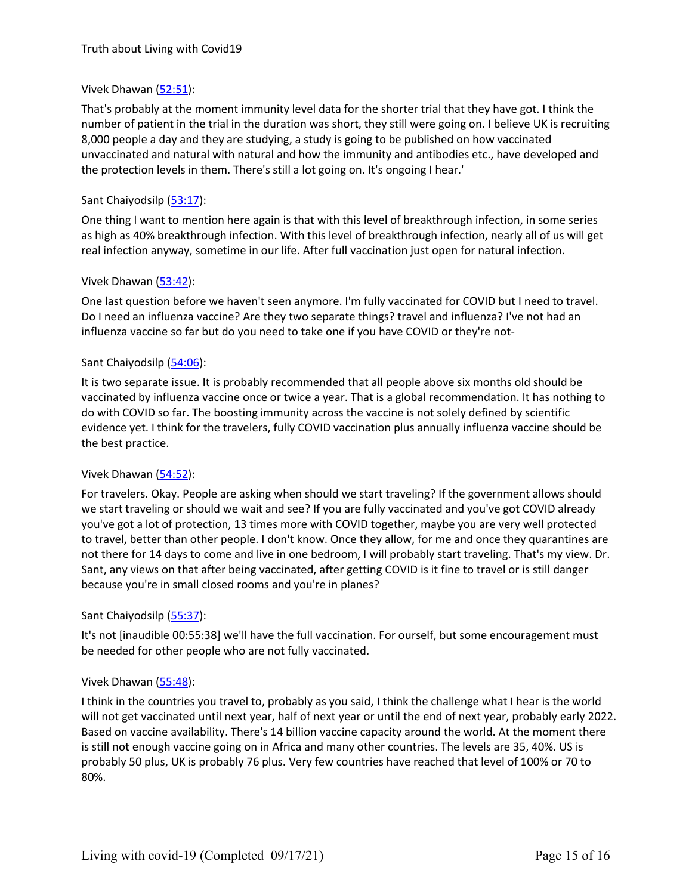# Vivek Dhawan [\(52:51](https://www.rev.com/transcript-editor/Edit?token=7iVc1PltxlqDVJCjN61iRAqZ8S4xXBA5mEd2G2FfH6dQbJGNPviM2zmxZU6s2mA0iqeGpPPK0tPh_9KGDkbdRbRRZcY&loadFrom=DocumentDeeplink&ts=3171.75)):

That's probably at the moment immunity level data for the shorter trial that they have got. I think the number of patient in the trial in the duration was short, they still were going on. I believe UK is recruiting 8,000 people a day and they are studying, a study is going to be published on how vaccinated unvaccinated and natural with natural and how the immunity and antibodies etc., have developed and the protection levels in them. There's still a lot going on. It's ongoing I hear.'

# Sant Chaiyodsilp [\(53:17](https://www.rev.com/transcript-editor/Edit?token=sqMwbW5WWuQJgTPcCf2KMUR1GSFmtfkPsdPoNJFb6whiGfAPcagJMI7daotjz249P10fUC8WRn19RwtbK8zhfP6z8YE&loadFrom=DocumentDeeplink&ts=3197.36)):

One thing I want to mention here again is that with this level of breakthrough infection, in some series as high as 40% breakthrough infection. With this level of breakthrough infection, nearly all of us will get real infection anyway, sometime in our life. After full vaccination just open for natural infection.

# Vivek Dhawan [\(53:42](https://www.rev.com/transcript-editor/Edit?token=xfdJ4XO9IHmauBda1oeHfijwvAKC3wFbqb4wg_ISW0a9TajgbvWhXHgfzSHLwosLyuZqIUhfmPr1goiZxzwp9tHakGc&loadFrom=DocumentDeeplink&ts=3222.3)):

One last question before we haven't seen anymore. I'm fully vaccinated for COVID but I need to travel. Do I need an influenza vaccine? Are they two separate things? travel and influenza? I've not had an influenza vaccine so far but do you need to take one if you have COVID or they're not-

# Sant Chaiyodsilp [\(54:06](https://www.rev.com/transcript-editor/Edit?token=3n-lNoAb15wmoPXmSNKtYi82fwyxANIn-4ig3fgg-EYS41SRUOi9iDEmDeZydveEckZM1ap9bKStZPxgNgklfHjSVfQ&loadFrom=DocumentDeeplink&ts=3246.58)):

It is two separate issue. It is probably recommended that all people above sixmonths old should be vaccinated by influenza vaccine once or twice a year. That is a global recommendation. It has nothing to do with COVID so far. The boosting immunity across the vaccine is not solely defined by scientific evidence yet. I think for the travelers, fully COVID vaccination plus annually influenza vaccine should be the best practice.

# Vivek Dhawan [\(54:52](https://www.rev.com/transcript-editor/Edit?token=cCOul3Yw3hxWliQrtPi_JJN0bu9e1g9S7wZxlW3MPoc3kOa_9pbhwqs00s8USnQN1MZoIPaO2hbJgc8LG4noUFqHrTE&loadFrom=DocumentDeeplink&ts=3292.54)):

For travelers. Okay. People are asking when should we start traveling? If the government allows should we start traveling or should we wait and see? If you are fully vaccinated and you've got COVID already you've got a lot of protection, 13 times more with COVID together, maybe you are very well protected to travel, better than other people. I don't know. Once they allow, for me and once they quarantines are not there for 14 days to come and live in one bedroom, I will probably start traveling. That's my view. Dr.<br>Sant, any views on that after being vaccinated, after getting COVID is it fine to travel or is still danger because you're in small closed rooms and you're in planes?

# Sant Chaiyodsilp [\(55:37](https://www.rev.com/transcript-editor/Edit?token=sZodZRcvIA2wAMIA8aRkodZTC9OWIvfeUQjzeG5B54UBsYnJ0pAx9hxM6m8YghJtaUzi-u--qOQJksbWPA8wMN1prBA&loadFrom=DocumentDeeplink&ts=3337.01)):

It's not [inaudible 00:55:38] we'll have the full vaccination. For ourself, but some encouragement must be needed for other people who are not fully vaccinated.

#### Vivek Dhawan [\(55:48](https://www.rev.com/transcript-editor/Edit?token=V6FUUJkvXjCYEL62A6RN1y9jLUJNgnD7J_gQ5dRpCmDfP26hbbjmFHbz-g-nH3xeivUDQNMC7hKI9aRRfgugvdzAvh4&loadFrom=DocumentDeeplink&ts=3348.1)):

I think in the countries you travel to, probably as you said, I think the challenge what I hear is the world will not get vaccinated until next year, half of next year or until the end of next year, probably early 2022. Based on vaccine availability. There's 14 billion vaccine capacity around the world. At the moment there is still not enough vaccine going on in Africa and many other countries. The levels are 35, 40%. US is probably 50 plus, UK is probably 76 plus. Very few countries have reached that level of 100% or 70 to 80%.